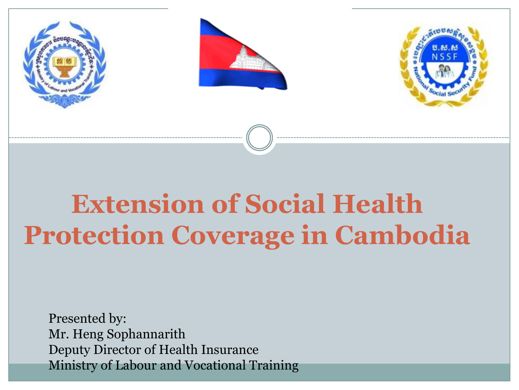





# **Extension of Social Health Protection Coverage in Cambodia**

Presented by: Mr. Heng Sophannarith Deputy Director of Health Insurance Ministry of Labour and Vocational Training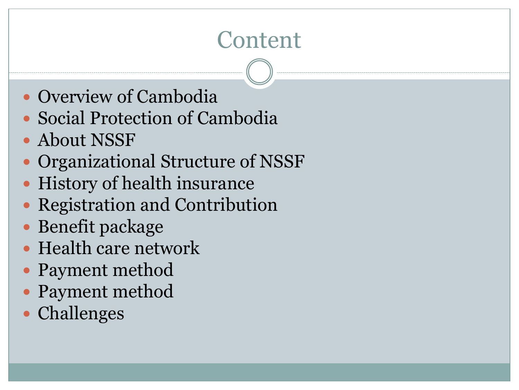# **Content**

- Overview of Cambodia
- Social Protection of Cambodia
- About NSSF
- Organizational Structure of NSSF
- History of health insurance
- Registration and Contribution
- Benefit package
- Health care network
- Payment method
- Payment method
- Challenges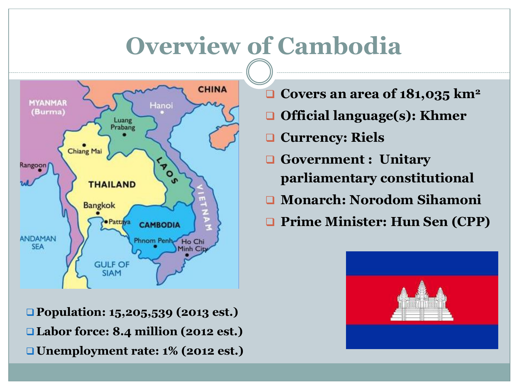# **Overview of Cambodia**



 **Population: 15,205,539 (2013 est.) Labor force: 8.4 million (2012 est.) Unemployment rate: 1% (2012 est.)**

- **Covers an area of 181,035 km<sup>2</sup>**
- **Official language(s): Khmer**
- **Currency: Riels**
- **Government : Unitary parliamentary constitutional**
- **Monarch: Norodom Sihamoni**
- **Prime Minister: Hun Sen (CPP)**

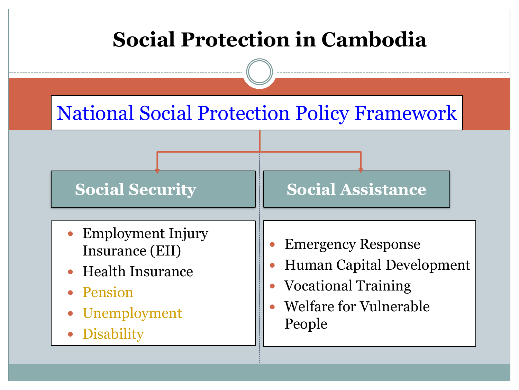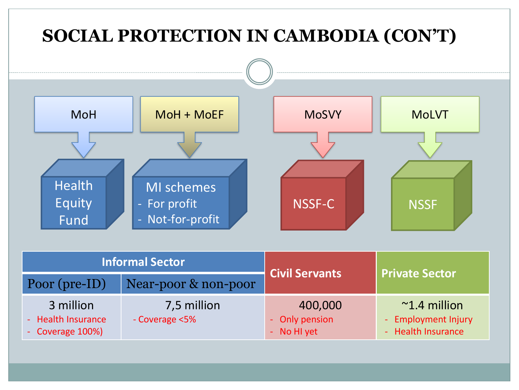

| <b>Informal Sector</b>                              |                               | <b>Civil Servants</b>                    |                                                                     |
|-----------------------------------------------------|-------------------------------|------------------------------------------|---------------------------------------------------------------------|
| Poor (pre-ID)                                       | Near-poor & non-poor          |                                          | <b>Private Sector</b>                                               |
| 3 million<br>- Health Insurance<br>- Coverage 100%) | 7,5 million<br>- Coverage <5% | 400,000<br>- Only pension<br>- No HI yet | $~^{\sim}$ 1.4 million<br>- Employment Injury<br>- Health Insurance |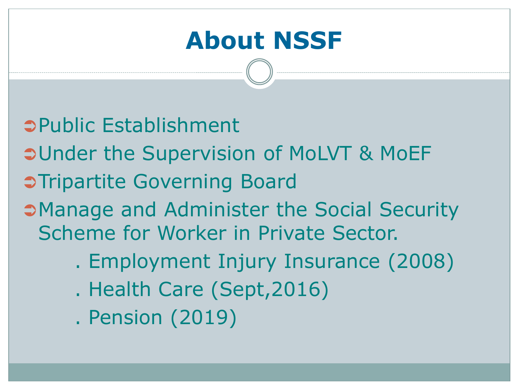# **About NSSF**

- Public Establishment
- **OUnder the Supervision of MoLVT & MoEF**
- **Chripartite Governing Board**
- Manage and Administer the Social Security Scheme for Worker in Private Sector.
	- . Employment Injury Insurance (2008)
	- . Health Care (Sept,2016)
	- . Pension (2019)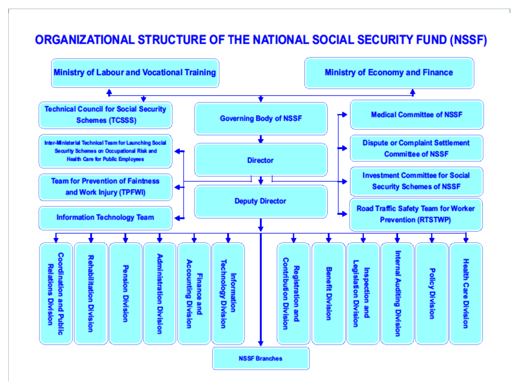#### ORGANIZATIONAL STRUCTURE OF THE NATIONAL SOCIAL SECURITY FUND (NSSF)

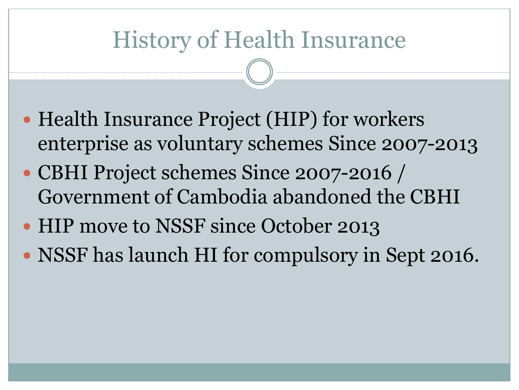#### History of Health Insurance

- Health Insurance Project (HIP) for workers enterprise as voluntary schemes Since 2007-2013
- CBHI Project schemes Since 2007-2016 / Government of Cambodia abandoned the CBHI
- HIP move to NSSF since October 2013 NSSF has launch HI for compulsory in Sept 2016.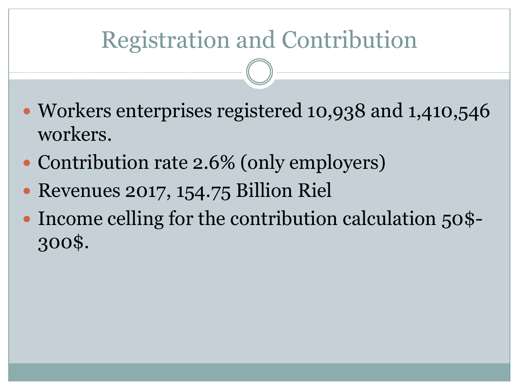# Registration and Contribution

- Workers enterprises registered 10,938 and 1,410,546 workers.
- Contribution rate 2.6% (only employers)
- Revenues 2017, 154.75 Billion Riel
- Income celling for the contribution calculation 50\$-300\$.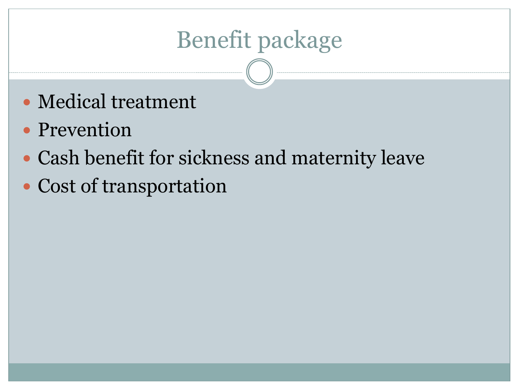# Benefit package

- Medical treatment
- Prevention
- Cash benefit for sickness and maternity leave
- Cost of transportation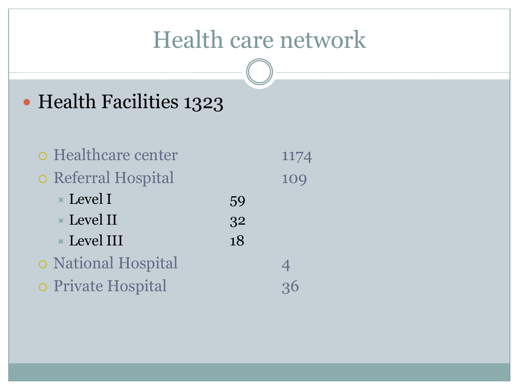#### Health care network

#### Health Facilities 1323

| o Healthcare center            |    | 1174           |
|--------------------------------|----|----------------|
| o Referral Hospital            |    | 109            |
| $\angle$ Level I               | 59 |                |
| $\blacktriangleright$ Level II | 32 |                |
| $\times$ Level III             | 18 |                |
| o National Hospital            |    | $\overline{4}$ |
| o Private Hospital             |    | 36             |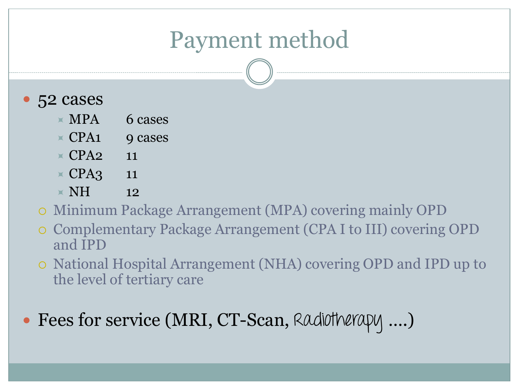#### Payment method

- 52 cases
	- $\times$  MPA 6 cases
	- $\times$  CPA1 9 cases
	- $\times$  CPA<sub>2</sub> 11
	- $\times$  CPA3 11
	- $\times$  NH 12
	- Minimum Package Arrangement (MPA) covering mainly OPD
	- Complementary Package Arrangement (CPA I to III) covering OPD and IPD
	- National Hospital Arrangement (NHA) covering OPD and IPD up to the level of tertiary care
- Fees for service (MRI, CT-Scan, Radiotherapy ....)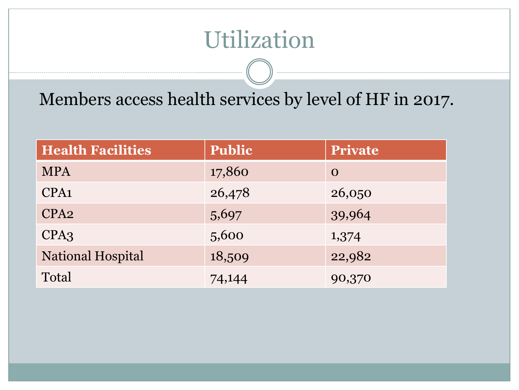#### Utilization

Members access health services by level of HF in 2017.

| <b>Health Facilities</b> | <b>Public</b> | Private  |
|--------------------------|---------------|----------|
| <b>MPA</b>               | 17,860        | $\Omega$ |
| CPA <sub>1</sub>         | 26,478        | 26,050   |
| CPA <sub>2</sub>         | 5,697         | 39,964   |
| CPA3                     | 5,600         | 1,374    |
| National Hospital        | 18,509        | 22,982   |
| Total                    | 74,144        | 90,370   |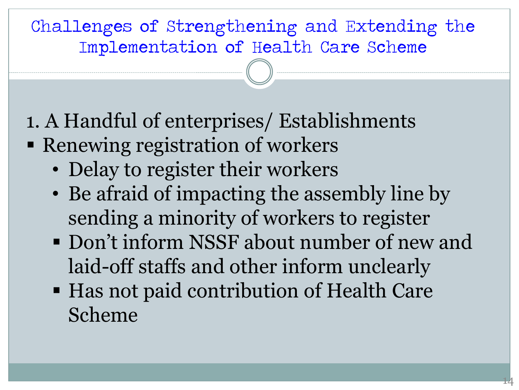#### Challenges of Strengthening and Extending the Implementation of Health Care Scheme

- 1. A Handful of enterprises/ Establishments
- Renewing registration of workers
	- Delay to register their workers
	- Be afraid of impacting the assembly line by sending a minority of workers to register
	- Don't inform NSSF about number of new and laid-off staffs and other inform unclearly
	- Has not paid contribution of Health Care Scheme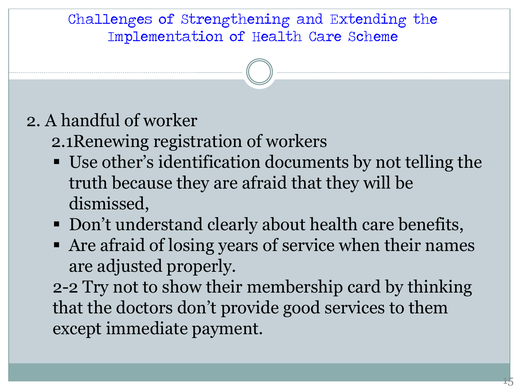Challenges of Strengthening and Extending the Implementation of Health Care Scheme

#### 2. A handful of worker

- 2.1Renewing registration of workers
- Use other's identification documents by not telling the truth because they are afraid that they will be dismissed,
- Don't understand clearly about health care benefits,
- Are afraid of losing years of service when their names are adjusted properly.

2-2 Try not to show their membership card by thinking that the doctors don't provide good services to them except immediate payment.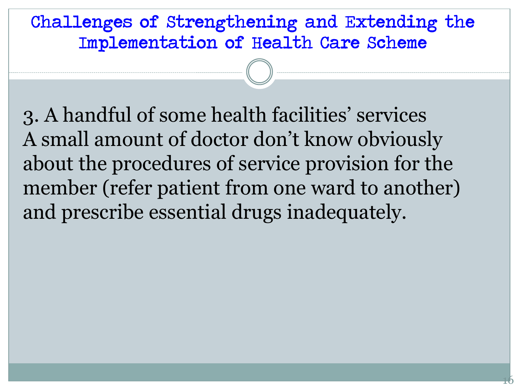Challenges of Strengthening and Extending the Implementation of Health Care Scheme

3. A handful of some health facilities' services A small amount of doctor don't know obviously about the procedures of service provision for the member (refer patient from one ward to another) and prescribe essential drugs inadequately.